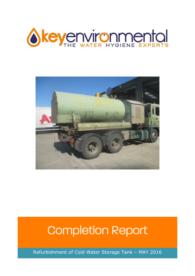



# Completion Report

Refurbishment of Cold Water Storage Tank – MAY 2016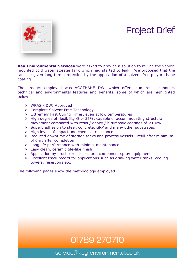### Project Brief



**Key Environmental Services** were asked to provide a solution to re-line the vehicle mounted cold water storage tank which had started to leak. We proposed that the tank be given long term protection by the application of a solvent free polyurethane coating.

The product employed was ACOTHANE DW, which offers numerous economic, technical and environmental features and benefits, some of which are highlighted below:

- Ø WRAS / DWI Approved
- Ø Complete Solvent Free Technology
- $\triangleright$  Extremely Fast Curing Times, even at low temperatures
- $\triangleright$  High degree of flexibility  $\oslash$  > 35%, capable of accommodating structural movement compared with resin / epoxy / bitumastic coatings of <1.0%
- $\triangleright$  Superb adhesion to steel, concrete, GRP and many other substrates.
- $\triangleright$  High levels of impact and chemical resistance.
- $\triangleright$  Reduced downtime of storage tanks and process vessels refill after minimum of 6hrs after completion.
- $\triangleright$  Long life performance with minimal maintenance
- $\triangleright$  Easy clean, ceramic tile-like finish
- $\triangleright$  Application by brush / roller or plural component spray equipment
- $\triangleright$  Excellent track record for applications such as drinking water tanks, cooling towers, reservoirs etc.

The following pages show the methodology employed.

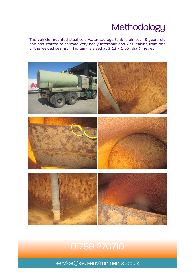### **Methodology**

The vehicle mounted steel cold water storage tank is almost 40 years old and had started to corrode very badly internally and was leaking from one of the welded seams. This tank is sized at  $3.12 \times 1.65$  (dia.) metres.



#### 01789 270710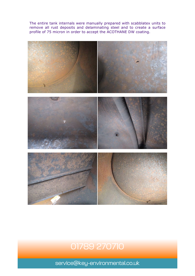The entire tank internals were manually prepared with scabblatex units to remove all rust deposits and delaminating steel and to create a surface profile of 75 micron in order to accept the ACOTHANE DW coating.



#### 01789 270710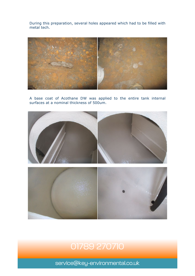During this preparation, several holes appeared which had to be filled with metal tech.



A base coat of Acothane DW was applied to the entire tank internal surfaces at a nominal thickness of 500um.





#### 01789 270710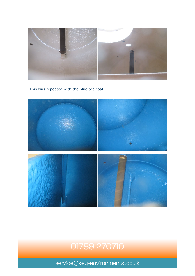

This was repeated with the blue top coat.



#### 01789 270710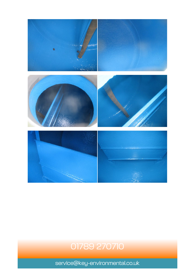

## 01789 270710